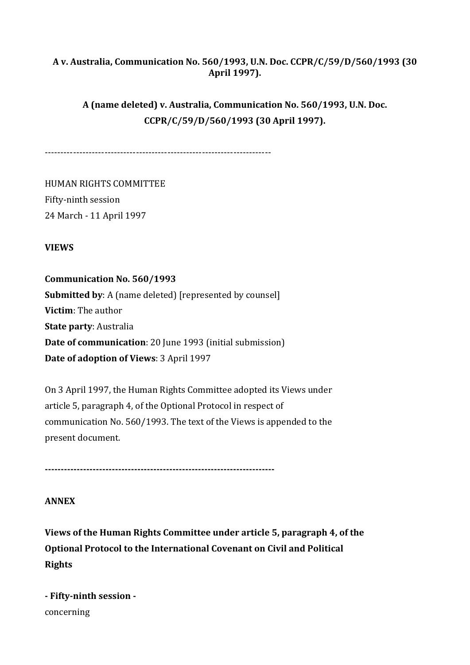# **A"v."Australia,"Communication"No."560/1993,"U.N."Doc."CCPR/C/59/D/560/1993"(30" April"1997).**

A (name deleted) v. Australia, Communication No. 560/1993, U.N. Doc. CCPR/C/59/D/560/1993 (30 April 1997).

""""""""""""""""""""""""""""""""""""""""""""""""""""""""""""""""""""""""

HUMAN RIGHTS COMMITTEE Fifty-ninth session 24 March - 11 April 1997

**VIEWS**

**Communication No. 560/1993 Submitted by:** A (name deleted) [represented by counsel] **Victim**: The author **State party: Australia Date of communication**: 20 June 1993 (initial submission) **Date of adoption of Views**: 3 April 1997

On 3 April 1997, the Human Rights Committee adopted its Views under article 5, paragraph 4, of the Optional Protocol in respect of communication No. 560/1993. The text of the Views is appended to the present document.

**MMMMMMMMMMMMMMMMMMMMMMMMMMMMMMMMMMMMMMMMMMMMMMMMMMMMMMMMMMMMMMMMMMMMMMMM**

#### **ANNEX**

Views of the Human Rights Committee under article 5, paragraph 4, of the **Optional Protocol to the International Covenant on Civil and Political Rights**

- Fifty-ninth session concerning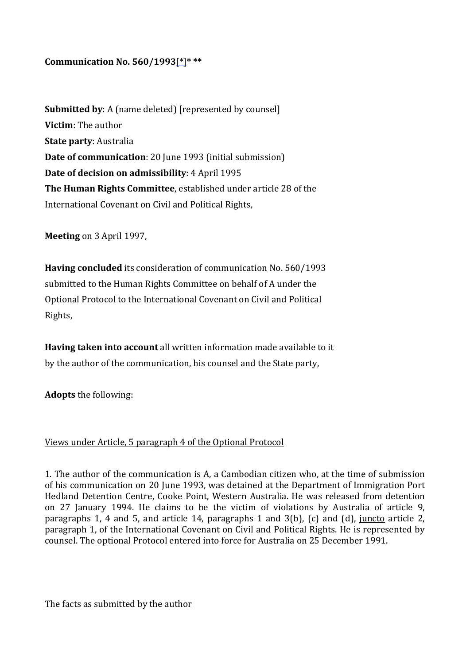# **Communication"No."560/1993**[\*]**\*"\*\***

**Submitted by:** A (name deleted) [represented by counsel] **Victim:** The author **State party: Australia Date of communication**: 20 June 1993 (initial submission) **Date of decision on admissibility: 4 April 1995 The Human Rights Committee**, established under article 28 of the International Covenant on Civil and Political Rights,

**Meeting** on 3 April 1997,

**Having concluded** its consideration of communication No. 560/1993 submitted to the Human Rights Committee on behalf of A under the Optional Protocol to the International Covenant on Civil and Political Rights,

**Having taken into account** all written information made available to it by the author of the communication, his counsel and the State party,

**Adopts** the following:

### Views under Article, 5 paragraph 4 of the Optional Protocol

1. The author of the communication is A, a Cambodian citizen who, at the time of submission of his communication on 20 June 1993, was detained at the Department of Immigration Port Hedland Detention Centre, Cooke Point, Western Australia. He was released from detention on 27 January 1994. He claims to be the victim of violations by Australia of article 9, paragraphs 1, 4 and 5, and article 14, paragraphs 1 and  $3(b)$ , (c) and (d), juncto article 2, paragraph 1, of the International Covenant on Civil and Political Rights. He is represented by counsel. The optional Protocol entered into force for Australia on 25 December 1991.

The facts as submitted by the author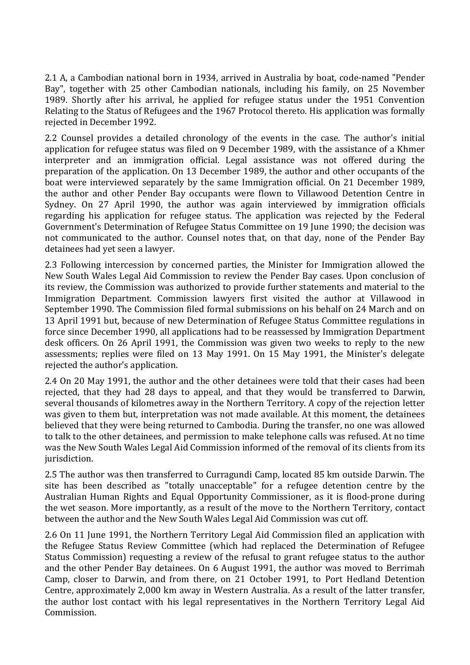2.1 A, a Cambodian national born in 1934, arrived in Australia by boat, code-named "Pender Bay", together with 25 other Cambodian nationals, including his family, on 25 November 1989. Shortly after his arrival, he applied for refugee status under the 1951 Convention Relating to the Status of Refugees and the 1967 Protocol thereto. His application was formally rejected in December 1992.

2.2 Counsel provides a detailed chronology of the events in the case. The author's initial application for refugee status was filed on 9 December 1989, with the assistance of a Khmer interpreter and an immigration official. Legal assistance was not offered during the preparation of the application. On 13 December 1989, the author and other occupants of the boat were interviewed separately by the same Immigration official. On 21 December 1989, the author and other Pender Bay occupants were flown to Villawood Detention Centre in Sydney. On 27 April 1990, the author was again interviewed by immigration officials regarding his application for refugee status. The application was rejected by the Federal Government's Determination of Refugee Status Committee on 19 June 1990; the decision was not communicated to the author. Counsel notes that, on that day, none of the Pender Bay detainees had yet seen a lawyer.

2.3 Following intercession by concerned parties, the Minister for Immigration allowed the New South Wales Legal Aid Commission to review the Pender Bay cases. Upon conclusion of its review, the Commission was authorized to provide further statements and material to the Immigration Department. Commission lawyers first visited the author at Villawood in September 1990. The Commission filed formal submissions on his behalf on 24 March and on 13 April 1991 but, because of new Determination of Refugee Status Committee regulations in force since December 1990, all applications had to be reassessed by Immigration Department desk officers. On 26 April 1991, the Commission was given two weeks to reply to the new assessments; replies were filed on 13 May 1991. On 15 May 1991, the Minister's delegate rejected the author's application.

2.4 On 20 May 1991, the author and the other detainees were told that their cases had been rejected, that they had 28 days to appeal, and that they would be transferred to Darwin, several thousands of kilometres away in the Northern Territory. A copy of the rejection letter was given to them but, interpretation was not made available. At this moment, the detainees believed that they were being returned to Cambodia. During the transfer, no one was allowed to talk to the other detainees, and permission to make telephone calls was refused. At no time was the New South Wales Legal Aid Commission informed of the removal of its clients from its jurisdiction.

2.5 The author was then transferred to Curragundi Camp, located 85 km outside Darwin. The site has been described as "totally unacceptable" for a refugee detention centre by the Australian Human Rights and Equal Opportunity Commissioner, as it is flood-prone during the wet season. More importantly, as a result of the move to the Northern Territory, contact between the author and the New South Wales Legal Aid Commission was cut off.

2.6 On 11 June 1991, the Northern Territory Legal Aid Commission filed an application with the Refugee Status Review Committee (which had replaced the Determination of Refugee Status Commission) requesting a review of the refusal to grant refugee status to the author and the other Pender Bay detainees. On 6 August 1991, the author was moved to Berrimah Camp, closer to Darwin, and from there, on 21 October 1991, to Port Hedland Detention Centre, approximately 2,000 km away in Western Australia. As a result of the latter transfer, the author lost contact with his legal representatives in the Northern Territory Legal Aid Commission.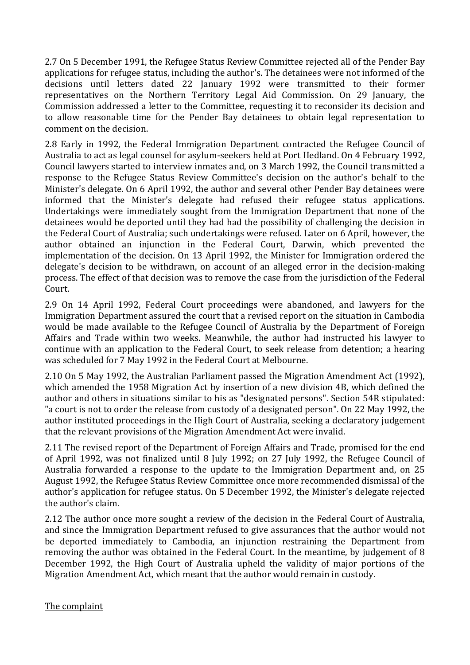2.7 On 5 December 1991, the Refugee Status Review Committee rejected all of the Pender Bay applications for refugee status, including the author's. The detainees were not informed of the decisions until letters dated 22 January 1992 were transmitted to their former representatives on the Northern Territory Legal Aid Commission. On 29 January, the Commission addressed a letter to the Committee, requesting it to reconsider its decision and to allow reasonable time for the Pender Bay detainees to obtain legal representation to comment on the decision.

2.8 Early in 1992, the Federal Immigration Department contracted the Refugee Council of Australia to act as legal counsel for asylum-seekers held at Port Hedland. On 4 February 1992, Council lawyers started to interview inmates and, on 3 March 1992, the Council transmitted a response to the Refugee Status Review Committee's decision on the author's behalf to the Minister's delegate. On 6 April 1992, the author and several other Pender Bay detainees were informed that the Minister's delegate had refused their refugee status applications. Undertakings were immediately sought from the Immigration Department that none of the detainees would be deported until they had had the possibility of challenging the decision in the Federal Court of Australia; such undertakings were refused. Later on 6 April, however, the author obtained an injunction in the Federal Court, Darwin, which prevented the implementation of the decision. On 13 April 1992, the Minister for Immigration ordered the delegate's decision to be withdrawn, on account of an alleged error in the decision-making process. The effect of that decision was to remove the case from the jurisdiction of the Federal Court.

2.9 On 14 April 1992, Federal Court proceedings were abandoned, and lawyers for the Immigration Department assured the court that a revised report on the situation in Cambodia would be made available to the Refugee Council of Australia by the Department of Foreign Affairs and Trade within two weeks. Meanwhile, the author had instructed his lawyer to continue with an application to the Federal Court, to seek release from detention; a hearing was scheduled for 7 May 1992 in the Federal Court at Melbourne.

2.10 On 5 May 1992, the Australian Parliament passed the Migration Amendment Act (1992), which amended the 1958 Migration Act by insertion of a new division 4B, which defined the author and others in situations similar to his as "designated persons". Section 54R stipulated: "a court is not to order the release from custody of a designated person". On 22 May 1992, the author instituted proceedings in the High Court of Australia, seeking a declaratory judgement that the relevant provisions of the Migration Amendment Act were invalid.

2.11 The revised report of the Department of Foreign Affairs and Trade, promised for the end of April 1992, was not finalized until 8 July 1992; on 27 July 1992, the Refugee Council of Australia forwarded a response to the update to the Immigration Department and, on 25 August 1992, the Refugee Status Review Committee once more recommended dismissal of the author's application for refugee status. On 5 December 1992, the Minister's delegate rejected the author's claim.

2.12 The author once more sought a review of the decision in the Federal Court of Australia, and since the Immigration Department refused to give assurances that the author would not be deported immediately to Cambodia, an injunction restraining the Department from removing the author was obtained in the Federal Court. In the meantime, by judgement of 8 December 1992, the High Court of Australia upheld the validity of major portions of the Migration Amendment Act, which meant that the author would remain in custody.

The complaint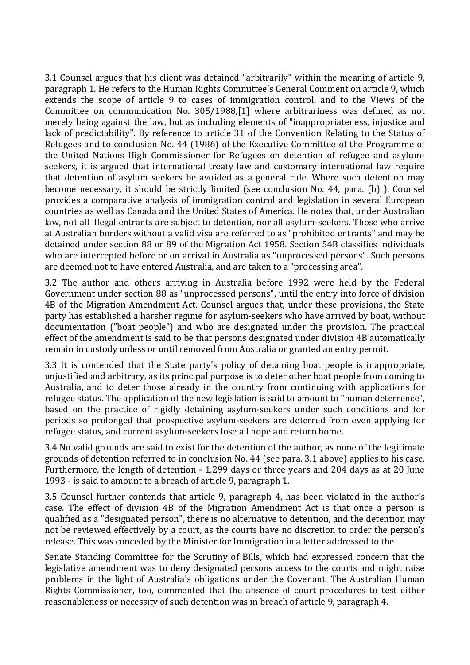3.1 Counsel argues that his client was detained "arbitrarily" within the meaning of article 9, paragraph 1. He refers to the Human Rights Committee's General Comment on article 9, which extends the scope of article 9 to cases of immigration control, and to the Views of the Committee on communication No. 305/1988,[1] where arbitrariness was defined as not merely being against the law, but as including elements of "inappropriateness, injustice and lack of predictability". By reference to article 31 of the Convention Relating to the Status of Refugees and to conclusion No. 44 (1986) of the Executive Committee of the Programme of the United Nations High Commissioner for Refugees on detention of refugee and asylumseekers, it is argued that international treaty law and customary international law require that detention of asylum seekers be avoided as a general rule. Where such detention may become necessary, it should be strictly limited (see conclusion No. 44, para. (b) ). Counsel provides a comparative analysis of immigration control and legislation in several European countries as well as Canada and the United States of America. He notes that, under Australian law, not all illegal entrants are subject to detention, nor all asylum-seekers. Those who arrive at Australian borders without a valid visa are referred to as "prohibited entrants" and may be detained under section 88 or 89 of the Migration Act 1958. Section 54B classifies individuals who are intercepted before or on arrival in Australia as "unprocessed persons". Such persons are deemed not to have entered Australia, and are taken to a "processing area".

3.2 The author and others arriving in Australia before 1992 were held by the Federal Government under section 88 as "unprocessed persons", until the entry into force of division 4B of the Migration Amendment Act. Counsel argues that, under these provisions, the State party has established a harsher regime for asylum-seekers who have arrived by boat, without documentation ("boat people") and who are designated under the provision. The practical effect of the amendment is said to be that persons designated under division 4B automatically remain in custody unless or until removed from Australia or granted an entry permit.

3.3 It is contended that the State party's policy of detaining boat people is inappropriate, unjustified and arbitrary, as its principal purpose is to deter other boat people from coming to Australia, and to deter those already in the country from continuing with applications for refugee status. The application of the new legislation is said to amount to "human deterrence", based on the practice of rigidly detaining asylum-seekers under such conditions and for periods so prolonged that prospective asylum-seekers are deterred from even applying for refugee status, and current asylum-seekers lose all hope and return home.

3.4 No valid grounds are said to exist for the detention of the author, as none of the legitimate grounds of detention referred to in conclusion No. 44 (see para. 3.1 above) applies to his case. Furthermore, the length of detention - 1,299 days or three years and 204 days as at 20 June 1993 - is said to amount to a breach of article 9, paragraph 1.

3.5 Counsel further contends that article 9, paragraph 4, has been violated in the author's case. The effect of division 4B of the Migration Amendment Act is that once a person is qualified as a "designated person", there is no alternative to detention, and the detention may not be reviewed effectively by a court, as the courts have no discretion to order the person's release. This was conceded by the Minister for Immigration in a letter addressed to the

Senate Standing Committee for the Scrutiny of Bills, which had expressed concern that the legislative amendment was to deny designated persons access to the courts and might raise problems in the light of Australia's obligations under the Covenant. The Australian Human Rights Commissioner, too, commented that the absence of court procedures to test either reasonableness or necessity of such detention was in breach of article 9, paragraph 4.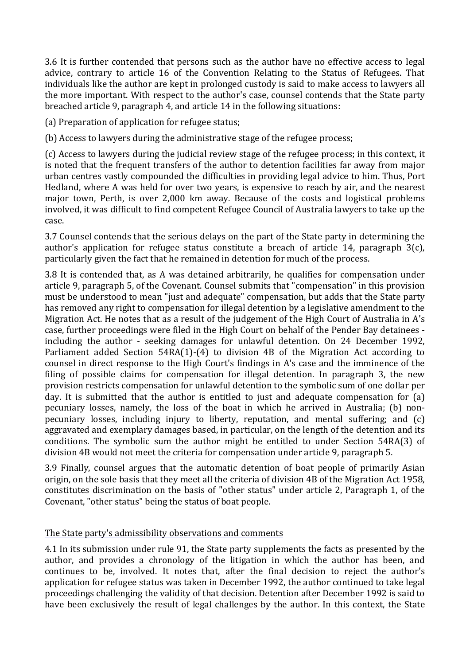3.6 It is further contended that persons such as the author have no effective access to legal advice, contrary to article 16 of the Convention Relating to the Status of Refugees. That individuals like the author are kept in prolonged custody is said to make access to lawyers all the more important. With respect to the author's case, counsel contends that the State party breached article 9, paragraph 4, and article 14 in the following situations:

(a) Preparation of application for refugee status;

(b) Access to lawyers during the administrative stage of the refugee process;

(c) Access to lawyers during the judicial review stage of the refugee process; in this context, it is noted that the frequent transfers of the author to detention facilities far away from major urban centres vastly compounded the difficulties in providing legal advice to him. Thus, Port Hedland, where A was held for over two years, is expensive to reach by air, and the nearest major town, Perth, is over 2,000 km away. Because of the costs and logistical problems involved, it was difficult to find competent Refugee Council of Australia lawyers to take up the case.

3.7 Counsel contends that the serious delays on the part of the State party in determining the author's application for refugee status constitute a breach of article 14, paragraph  $3(c)$ , particularly given the fact that he remained in detention for much of the process.

3.8 It is contended that, as A was detained arbitrarily, he qualifies for compensation under article 9, paragraph 5, of the Covenant. Counsel submits that "compensation" in this provision must be understood to mean "just and adequate" compensation, but adds that the State party has removed any right to compensation for illegal detention by a legislative amendment to the Migration Act. He notes that as a result of the judgement of the High Court of Australia in A's case, further proceedings were filed in the High Court on behalf of the Pender Bay detainees including the author - seeking damages for unlawful detention. On 24 December 1992, Parliament added Section 54RA(1)-(4) to division 4B of the Migration Act according to counsel in direct response to the High Court's findings in A's case and the imminence of the filing of possible claims for compensation for illegal detention. In paragraph 3, the new provision restricts compensation for unlawful detention to the symbolic sum of one dollar per day. It is submitted that the author is entitled to just and adequate compensation for (a). pecuniary losses, namely, the loss of the boat in which he arrived in Australia; (b) nonpecuniary losses, including injury to liberty, reputation, and mental suffering; and  $(c)$ aggravated and exemplary damages based, in particular, on the length of the detention and its conditions. The symbolic sum the author might be entitled to under Section 54RA(3) of division 4B would not meet the criteria for compensation under article 9, paragraph 5.

3.9 Finally, counsel argues that the automatic detention of boat people of primarily Asian origin, on the sole basis that they meet all the criteria of division 4B of the Migration Act 1958, constitutes discrimination on the basis of "other status" under article 2, Paragraph 1, of the Covenant, "other status" being the status of boat people.

### The State party's admissibility observations and comments

4.1 In its submission under rule 91, the State party supplements the facts as presented by the author, and provides a chronology of the litigation in which the author has been, and continues to be, involved. It notes that, after the final decision to reject the author's application for refugee status was taken in December 1992, the author continued to take legal proceedings challenging the validity of that decision. Detention after December 1992 is said to have been exclusively the result of legal challenges by the author. In this context, the State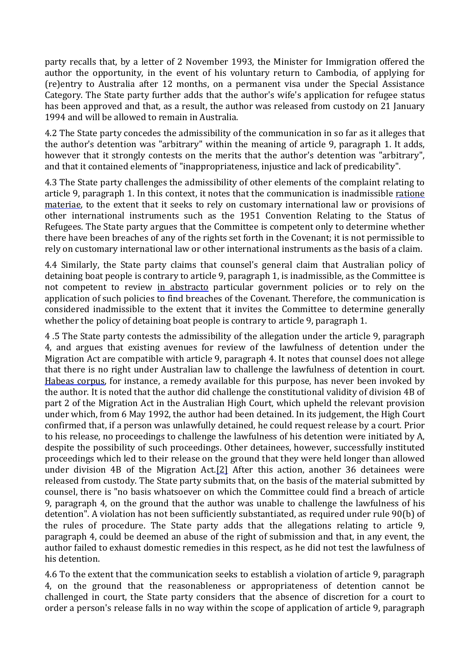party recalls that, by a letter of 2 November 1993, the Minister for Immigration offered the author the opportunity, in the event of his voluntary return to Cambodia, of applying for (re)entry to Australia after 12 months, on a permanent visa under the Special Assistance Category. The State party further adds that the author's wife's application for refugee status has been approved and that, as a result, the author was released from custody on 21 January 1994 and will be allowed to remain in Australia.

4.2 The State party concedes the admissibility of the communication in so far as it alleges that the author's detention was "arbitrary" within the meaning of article 9, paragraph 1. It adds, however that it strongly contests on the merits that the author's detention was "arbitrary", and that it contained elements of "inappropriateness, injustice and lack of predicability".

4.3 The State party challenges the admissibility of other elements of the complaint relating to article 9, paragraph 1. In this context, it notes that the communication is inadmissible ratione materiae, to the extent that it seeks to rely on customary international law or provisions of other international instruments such as the 1951 Convention Relating to the Status of Refugees. The State party argues that the Committee is competent only to determine whether there have been breaches of any of the rights set forth in the Covenant; it is not permissible to rely on customary international law or other international instruments as the basis of a claim.

4.4 Similarly, the State party claims that counsel's general claim that Australian policy of detaining boat people is contrary to article 9, paragraph 1, is inadmissible, as the Committee is not competent to review in abstracto particular government policies or to rely on the application of such policies to find breaches of the Covenant. Therefore, the communication is considered inadmissible to the extent that it invites the Committee to determine generally whether the policy of detaining boat people is contrary to article 9, paragraph 1.

4.5 The State party contests the admissibility of the allegation under the article 9, paragraph 4, and argues that existing avenues for review of the lawfulness of detention under the Migration Act are compatible with article 9, paragraph 4. It notes that counsel does not allege that there is no right under Australian law to challenge the lawfulness of detention in court. Habeas corpus, for instance, a remedy available for this purpose, has never been invoked by the author. It is noted that the author did challenge the constitutional validity of division 4B of part 2 of the Migration Act in the Australian High Court, which upheld the relevant provision under which, from 6 May 1992, the author had been detained. In its judgement, the High Court confirmed that, if a person was unlawfully detained, he could request release by a court. Prior to his release, no proceedings to challenge the lawfulness of his detention were initiated by A, despite the possibility of such proceedings. Other detainees, however, successfully instituted proceedings which led to their release on the ground that they were held longer than allowed under division 4B of the Migration Act.<sup>[2]</sup> After this action, another 36 detainees were released from custody. The State party submits that, on the basis of the material submitted by counsel, there is "no basis whatsoever on which the Committee could find a breach of article 9, paragraph 4, on the ground that the author was unable to challenge the lawfulness of his detention". A violation has not been sufficiently substantiated, as required under rule 90(b) of the rules of procedure. The State party adds that the allegations relating to article 9, paragraph 4, could be deemed an abuse of the right of submission and that, in any event, the author failed to exhaust domestic remedies in this respect, as he did not test the lawfulness of his detention.

4.6 To the extent that the communication seeks to establish a violation of article 9, paragraph 4, on the ground that the reasonableness or appropriateness of detention cannot be challenged in court, the State party considers that the absence of discretion for a court to order a person's release falls in no way within the scope of application of article 9, paragraph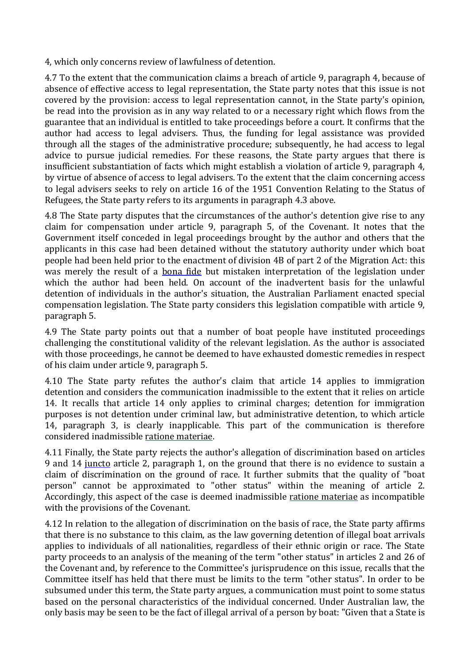4, which only concerns review of lawfulness of detention.

4.7 To the extent that the communication claims a breach of article 9, paragraph 4, because of absence of effective access to legal representation, the State party notes that this issue is not covered by the provision: access to legal representation cannot, in the State party's opinion, be read into the provision as in any way related to or a necessary right which flows from the guarantee that an individual is entitled to take proceedings before a court. It confirms that the author had access to legal advisers. Thus, the funding for legal assistance was provided through all the stages of the administrative procedure; subsequently, he had access to legal advice to pursue judicial remedies. For these reasons, the State party argues that there is insufficient substantiation of facts which might establish a violation of article 9, paragraph 4, by virtue of absence of access to legal advisers. To the extent that the claim concerning access to legal advisers seeks to rely on article 16 of the 1951 Convention Relating to the Status of Refugees, the State party refers to its arguments in paragraph 4.3 above.

4.8 The State party disputes that the circumstances of the author's detention give rise to any claim for compensation under article 9, paragraph 5, of the Covenant. It notes that the Government itself conceded in legal proceedings brought by the author and others that the applicants in this case had been detained without the statutory authority under which boat people had been held prior to the enactment of division 4B of part 2 of the Migration Act: this was merely the result of a bona fide but mistaken interpretation of the legislation under which the author had been held. On account of the inadvertent basis for the unlawful detention of individuals in the author's situation, the Australian Parliament enacted special compensation legislation. The State party considers this legislation compatible with article 9, paragraph 5.

4.9 The State party points out that a number of boat people have instituted proceedings challenging the constitutional validity of the relevant legislation. As the author is associated with those proceedings, he cannot be deemed to have exhausted domestic remedies in respect of his claim under article 9, paragraph 5.

4.10 The State party refutes the author's claim that article 14 applies to immigration detention and considers the communication inadmissible to the extent that it relies on article 14. It recalls that article 14 only applies to criminal charges; detention for immigration purposes is not detention under criminal law, but administrative detention, to which article 14, paragraph 3, is clearly inapplicable. This part of the communication is therefore considered inadmissible ratione materiae.

4.11 Finally, the State party rejects the author's allegation of discrimination based on articles 9 and 14 juncto article 2, paragraph 1, on the ground that there is no evidence to sustain a claim of discrimination on the ground of race. It further submits that the quality of "boat" person" cannot be approximated to "other status" within the meaning of article 2. Accordingly, this aspect of the case is deemed inadmissible ratione materiae as incompatible with the provisions of the Covenant.

4.12 In relation to the allegation of discrimination on the basis of race, the State party affirms that there is no substance to this claim, as the law governing detention of illegal boat arrivals applies to individuals of all nationalities, regardless of their ethnic origin or race. The State party proceeds to an analysis of the meaning of the term "other status" in articles 2 and 26 of the Covenant and, by reference to the Committee's jurisprudence on this issue, recalls that the Committee itself has held that there must be limits to the term "other status". In order to be subsumed under this term, the State party argues, a communication must point to some status based on the personal characteristics of the individual concerned. Under Australian law, the only basis may be seen to be the fact of illegal arrival of a person by boat: "Given that a State is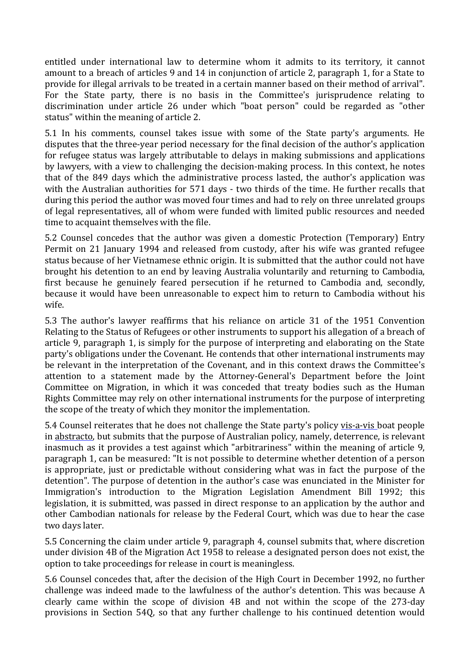entitled under international law to determine whom it admits to its territory, it cannot amount to a breach of articles 9 and 14 in conjunction of article 2, paragraph 1, for a State to provide for illegal arrivals to be treated in a certain manner based on their method of arrival". For the State party, there is no basis in the Committee's jurisprudence relating to discrimination under article 26 under which "boat person" could be regarded as "other status" within the meaning of article 2.

5.1 In his comments, counsel takes issue with some of the State party's arguments. He disputes that the three-year period necessary for the final decision of the author's application for refugee status was largely attributable to delays in making submissions and applications by lawyers, with a view to challenging the decision-making process. In this context, he notes that of the 849 days which the administrative process lasted, the author's application was with the Australian authorities for 571 days - two thirds of the time. He further recalls that during this period the author was moved four times and had to rely on three unrelated groups of legal representatives, all of whom were funded with limited public resources and needed time to acquaint themselves with the file.

5.2 Counsel concedes that the author was given a domestic Protection (Temporary) Entry Permit on 21 January 1994 and released from custody, after his wife was granted refugee status because of her Vietnamese ethnic origin. It is submitted that the author could not have brought his detention to an end by leaving Australia voluntarily and returning to Cambodia, first because he genuinely feared persecution if he returned to Cambodia and, secondly, because it would have been unreasonable to expect him to return to Cambodia without his wife.

5.3 The author's lawyer reaffirms that his reliance on article 31 of the 1951 Convention Relating to the Status of Refugees or other instruments to support his allegation of a breach of article 9, paragraph 1, is simply for the purpose of interpreting and elaborating on the State party's obligations under the Covenant. He contends that other international instruments may be relevant in the interpretation of the Covenant, and in this context draws the Committee's attention to a statement made by the Attorney-General's Department before the Joint Committee on Migration, in which it was conceded that treaty bodies such as the Human Rights Committee may rely on other international instruments for the purpose of interpreting the scope of the treaty of which they monitor the implementation.

5.4 Counsel reiterates that he does not challenge the State party's policy vis-a-vis boat people in abstracto, but submits that the purpose of Australian policy, namely, deterrence, is relevant inasmuch as it provides a test against which "arbitrariness" within the meaning of article 9, paragraph 1, can be measured: "It is not possible to determine whether detention of a person is appropriate, just or predictable without considering what was in fact the purpose of the detention". The purpose of detention in the author's case was enunciated in the Minister for Immigration's introduction to the Migration Legislation Amendment Bill 1992; this legislation, it is submitted, was passed in direct response to an application by the author and other Cambodian nationals for release by the Federal Court, which was due to hear the case two days later.

5.5 Concerning the claim under article 9, paragraph 4, counsel submits that, where discretion under division 4B of the Migration Act 1958 to release a designated person does not exist, the option to take proceedings for release in court is meaningless.

5.6 Counsel concedes that, after the decision of the High Court in December 1992, no further challenge was indeed made to the lawfulness of the author's detention. This was because A clearly came within the scope of division 4B and not within the scope of the 273-day provisions in Section 54Q, so that any further challenge to his continued detention would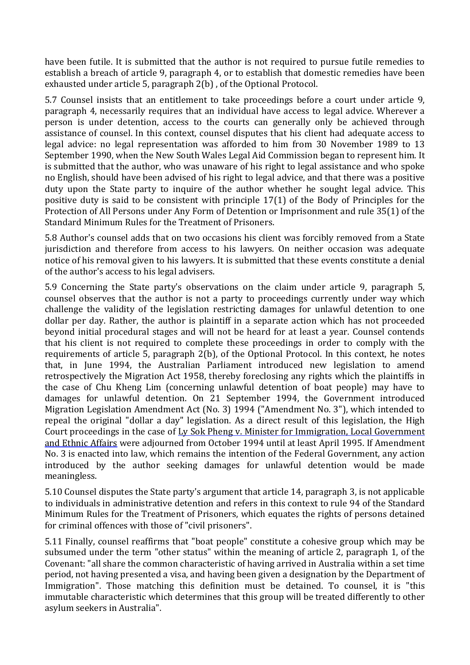have been futile. It is submitted that the author is not required to pursue futile remedies to establish a breach of article 9, paragraph 4, or to establish that domestic remedies have been exhausted under article 5, paragraph 2(b), of the Optional Protocol.

5.7 Counsel insists that an entitlement to take proceedings before a court under article 9, paragraph 4, necessarily requires that an individual have access to legal advice. Wherever a person is under detention, access to the courts can generally only be achieved through assistance of counsel. In this context, counsel disputes that his client had adequate access to legal advice: no legal representation was afforded to him from 30 November 1989 to 13 September 1990, when the New South Wales Legal Aid Commission began to represent him. It is submitted that the author, who was unaware of his right to legal assistance and who spoke no English, should have been advised of his right to legal advice, and that there was a positive duty upon the State party to inquire of the author whether he sought legal advice. This positive duty is said to be consistent with principle  $17(1)$  of the Body of Principles for the Protection of All Persons under Any Form of Detention or Imprisonment and rule 35(1) of the Standard Minimum Rules for the Treatment of Prisoners.

5.8 Author's counsel adds that on two occasions his client was forcibly removed from a State jurisdiction and therefore from access to his lawyers. On neither occasion was adequate notice of his removal given to his lawyers. It is submitted that these events constitute a denial of the author's access to his legal advisers.

5.9 Concerning the State party's observations on the claim under article 9, paragraph 5, counsel observes that the author is not a party to proceedings currently under way which challenge the validity of the legislation restricting damages for unlawful detention to one dollar per day. Rather, the author is plaintiff in a separate action which has not proceeded beyond initial procedural stages and will not be heard for at least a year. Counsel contends that his client is not required to complete these proceedings in order to comply with the requirements of article 5, paragraph 2(b), of the Optional Protocol. In this context, he notes that, in June 1994, the Australian Parliament introduced new legislation to amend retrospectively the Migration Act 1958, thereby foreclosing any rights which the plaintiffs in the case of Chu Kheng Lim (concerning unlawful detention of boat people) may have to damages for unlawful detention. On 21 September 1994, the Government introduced Migration Legislation Amendment Act (No. 3) 1994 ("Amendment No. 3"), which intended to repeal the original "dollar a day" legislation. As a direct result of this legislation, the High Court proceedings in the case of Ly Sok Pheng y. Minister for Immigration, Local Government and Ethnic Affairs were adjourned from October 1994 until at least April 1995. If Amendment No. 3 is enacted into law, which remains the intention of the Federal Government, any action introduced by the author seeking damages for unlawful detention would be made meaningless.

5.10 Counsel disputes the State party's argument that article 14, paragraph 3, is not applicable to individuals in administrative detention and refers in this context to rule 94 of the Standard Minimum Rules for the Treatment of Prisoners, which equates the rights of persons detained for criminal offences with those of "civil prisoners".

5.11 Finally, counsel reaffirms that "boat people" constitute a cohesive group which may be subsumed under the term "other status" within the meaning of article 2, paragraph 1, of the Covenant: "all share the common characteristic of having arrived in Australia within a set time period, not having presented a visa, and having been given a designation by the Department of Immigration". Those matching this definition must be detained. To counsel, it is "this immutable characteristic which determines that this group will be treated differently to other asylum seekers in Australia".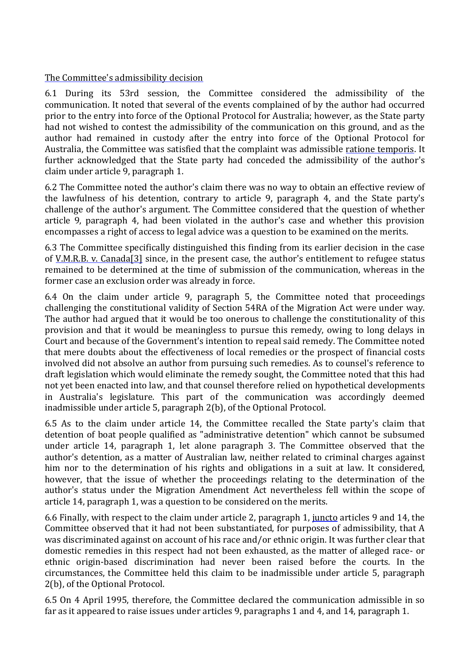## The Committee's admissibility decision

6.1 During its 53rd session, the Committee considered the admissibility of the communication. It noted that several of the events complained of by the author had occurred prior to the entry into force of the Optional Protocol for Australia; however, as the State party had not wished to contest the admissibility of the communication on this ground, and as the author had remained in custody after the entry into force of the Optional Protocol for Australia, the Committee was satisfied that the complaint was admissible ratione temporis. It further acknowledged that the State party had conceded the admissibility of the author's claim under article 9, paragraph 1.

6.2 The Committee noted the author's claim there was no way to obtain an effective review of the lawfulness of his detention, contrary to article 9, paragraph 4, and the State party's challenge of the author's argument. The Committee considered that the question of whether article 9, paragraph 4, had been violated in the author's case and whether this provision encompasses a right of access to legal advice was a question to be examined on the merits.

6.3 The Committee specifically distinguished this finding from its earlier decision in the case of V.M.R.B. v. Canada[3] since, in the present case, the author's entitlement to refugee status remained to be determined at the time of submission of the communication, whereas in the former case an exclusion order was already in force.

6.4 On the claim under article 9, paragraph 5, the Committee noted that proceedings challenging the constitutional validity of Section 54RA of the Migration Act were under way. The author had argued that it would be too onerous to challenge the constitutionality of this provision and that it would be meaningless to pursue this remedy, owing to long delays in Court and because of the Government's intention to repeal said remedy. The Committee noted that mere doubts about the effectiveness of local remedies or the prospect of financial costs involved did not absolve an author from pursuing such remedies. As to counsel's reference to draft legislation which would eliminate the remedy sought, the Committee noted that this had not yet been enacted into law, and that counsel therefore relied on hypothetical developments in Australia's legislature. This part of the communication was accordingly deemed inadmissible under article 5, paragraph 2(b), of the Optional Protocol.

6.5 As to the claim under article 14, the Committee recalled the State party's claim that detention of boat people qualified as "administrative detention" which cannot be subsumed under article 14, paragraph 1, let alone paragraph 3. The Committee observed that the author's detention, as a matter of Australian law, neither related to criminal charges against him nor to the determination of his rights and obligations in a suit at law. It considered, however, that the issue of whether the proceedings relating to the determination of the author's status under the Migration Amendment Act nevertheless fell within the scope of article 14, paragraph 1, was a question to be considered on the merits.

6.6 Finally, with respect to the claim under article 2, paragraph 1, juncto articles 9 and 14, the Committee observed that it had not been substantiated, for purposes of admissibility, that A was discriminated against on account of his race and/or ethnic origin. It was further clear that domestic remedies in this respect had not been exhausted, as the matter of alleged race- or ethnic origin-based discrimination had never been raised before the courts. In the circumstances, the Committee held this claim to be inadmissible under article 5, paragraph 2(b), of the Optional Protocol.

6.5 On 4 April 1995, therefore, the Committee declared the communication admissible in so far as it appeared to raise issues under articles 9, paragraphs 1 and 4, and 14, paragraph 1.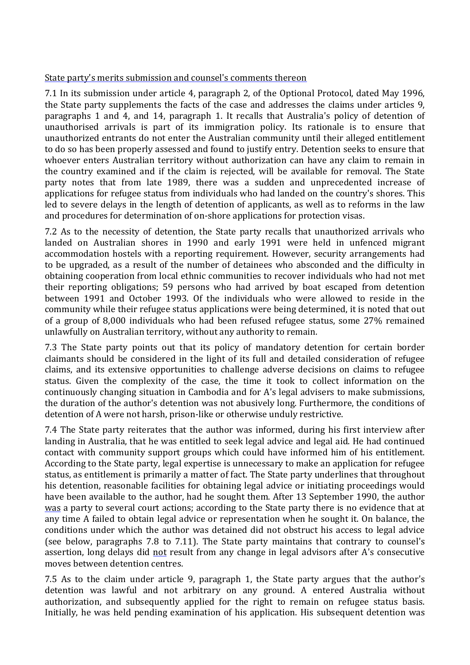# State party's merits submission and counsel's comments thereon

7.1 In its submission under article 4, paragraph 2, of the Optional Protocol, dated May 1996, the State party supplements the facts of the case and addresses the claims under articles 9, paragraphs 1 and 4, and 14, paragraph 1. It recalls that Australia's policy of detention of unauthorised arrivals is part of its immigration policy. Its rationale is to ensure that unauthorized entrants do not enter the Australian community until their alleged entitlement to do so has been properly assessed and found to justify entry. Detention seeks to ensure that whoever enters Australian territory without authorization can have any claim to remain in the country examined and if the claim is rejected, will be available for removal. The State party notes that from late 1989, there was a sudden and unprecedented increase of applications for refugee status from individuals who had landed on the country's shores. This led to severe delays in the length of detention of applicants, as well as to reforms in the law and procedures for determination of on-shore applications for protection visas.

7.2 As to the necessity of detention, the State party recalls that unauthorized arrivals who landed on Australian shores in 1990 and early 1991 were held in unfenced migrant accommodation hostels with a reporting requirement. However, security arrangements had to be upgraded, as a result of the number of detainees who absconded and the difficulty in obtaining cooperation from local ethnic communities to recover individuals who had not met their reporting obligations; 59 persons who had arrived by boat escaped from detention between 1991 and October 1993. Of the individuals who were allowed to reside in the community while their refugee status applications were being determined, it is noted that out of a group of 8,000 individuals who had been refused refugee status, some 27% remained unlawfully on Australian territory, without any authority to remain.

7.3 The State party points out that its policy of mandatory detention for certain border claimants should be considered in the light of its full and detailed consideration of refugee claims, and its extensive opportunities to challenge adverse decisions on claims to refugee status. Given the complexity of the case, the time it took to collect information on the continuously changing situation in Cambodia and for A's legal advisers to make submissions, the duration of the author's detention was not abusively long. Furthermore, the conditions of detention of A were not harsh, prison-like or otherwise unduly restrictive.

7.4 The State party reiterates that the author was informed, during his first interview after landing in Australia, that he was entitled to seek legal advice and legal aid. He had continued contact with community support groups which could have informed him of his entitlement. According to the State party, legal expertise is unnecessary to make an application for refugee status, as entitlement is primarily a matter of fact. The State party underlines that throughout his detention, reasonable facilities for obtaining legal advice or initiating proceedings would have been available to the author, had he sought them. After 13 September 1990, the author was a party to several court actions; according to the State party there is no evidence that at any time A failed to obtain legal advice or representation when he sought it. On balance, the conditions under which the author was detained did not obstruct his access to legal advice (see below, paragraphs  $7.8$  to  $7.11$ ). The State party maintains that contrary to counsel's assertion, long delays did not result from any change in legal advisors after A's consecutive moves between detention centres.

7.5 As to the claim under article 9, paragraph 1, the State party argues that the author's detention was lawful and not arbitrary on any ground. A entered Australia without authorization, and subsequently applied for the right to remain on refugee status basis. Initially, he was held pending examination of his application. His subsequent detention was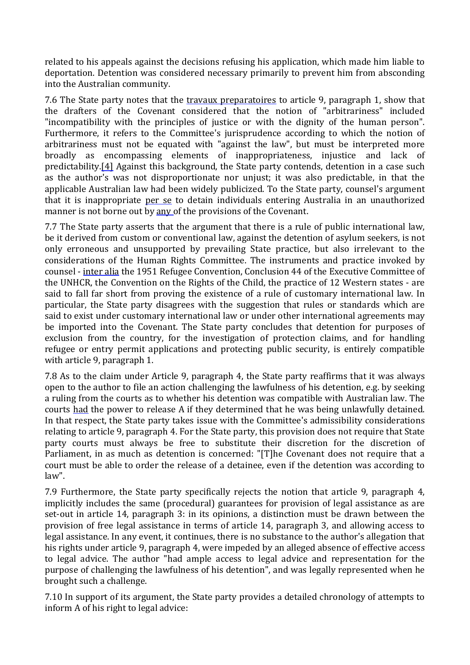related to his appeals against the decisions refusing his application, which made him liable to deportation. Detention was considered necessary primarily to prevent him from absconding into the Australian community.

7.6 The State party notes that the travaux preparatoires to article 9, paragraph 1, show that the drafters of the Covenant considered that the notion of "arbitrariness" included "incompatibility with the principles of justice or with the dignity of the human person". Furthermore, it refers to the Committee's jurisprudence according to which the notion of arbitrariness must not be equated with "against the law", but must be interpreted more broadly as encompassing elements of inappropriateness, injustice and lack of predictability.<sup>[4]</sup> Against this background, the State party contends, detention in a case such as the author's was not disproportionate nor unjust; it was also predictable, in that the applicable Australian law had been widely publicized. To the State party, counsel's argument that it is inappropriate per se to detain individuals entering Australia in an unauthorized manner is not borne out by any of the provisions of the Covenant.

7.7 The State party asserts that the argument that there is a rule of public international law, be it derived from custom or conventional law, against the detention of asylum seekers, is not only erroneous and unsupported by prevailing State practice, but also irrelevant to the considerations of the Human Rights Committee. The instruments and practice invoked by counsel - inter alia the 1951 Refugee Convention, Conclusion 44 of the Executive Committee of the UNHCR, the Convention on the Rights of the Child, the practice of 12 Western states - are said to fall far short from proving the existence of a rule of customary international law. In particular, the State party disagrees with the suggestion that rules or standards which are said to exist under customary international law or under other international agreements may be imported into the Covenant. The State party concludes that detention for purposes of exclusion from the country, for the investigation of protection claims, and for handling refugee or entry permit applications and protecting public security, is entirely compatible with article 9, paragraph 1.

7.8 As to the claim under Article 9, paragraph 4, the State party reaffirms that it was always open to the author to file an action challenging the lawfulness of his detention, e.g. by seeking a ruling from the courts as to whether his detention was compatible with Australian law. The courts had the power to release A if they determined that he was being unlawfully detained. In that respect, the State party takes issue with the Committee's admissibility considerations relating to article 9, paragraph 4. For the State party, this provision does not require that State party courts must always be free to substitute their discretion for the discretion of Parliament, in as much as detention is concerned: "[T]he Covenant does not require that a court must be able to order the release of a detainee, even if the detention was according to law".

7.9 Furthermore, the State party specifically rejects the notion that article 9, paragraph 4, implicitly includes the same (procedural) guarantees for provision of legal assistance as are set-out in article 14, paragraph 3: in its opinions, a distinction must be drawn between the provision of free legal assistance in terms of article 14, paragraph 3, and allowing access to legal assistance. In any event, it continues, there is no substance to the author's allegation that his rights under article 9, paragraph 4, were impeded by an alleged absence of effective access to legal advice. The author "had ample access to legal advice and representation for the purpose of challenging the lawfulness of his detention", and was legally represented when he brought such a challenge.

7.10 In support of its argument, the State party provides a detailed chronology of attempts to inform A of his right to legal advice: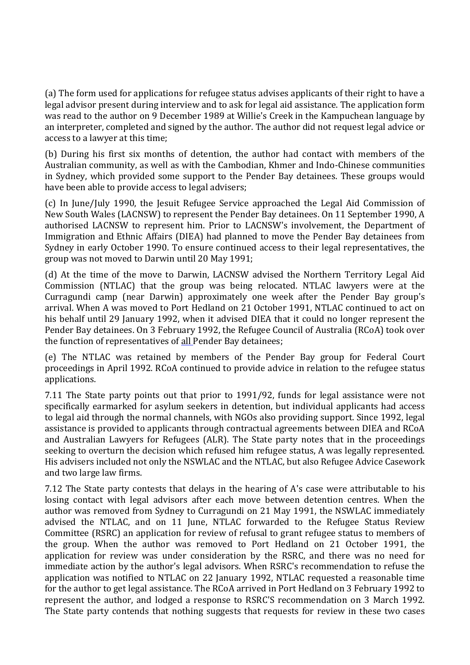(a) The form used for applications for refugee status advises applicants of their right to have a legal advisor present during interview and to ask for legal aid assistance. The application form was read to the author on 9 December 1989 at Willie's Creek in the Kampuchean language by an interpreter, completed and signed by the author. The author did not request legal advice or access to a lawyer at this time:

(b) During his first six months of detention, the author had contact with members of the Australian community, as well as with the Cambodian, Khmer and Indo-Chinese communities in Sydney, which provided some support to the Pender Bay detainees. These groups would have been able to provide access to legal advisers;

(c) In June/July 1990, the Jesuit Refugee Service approached the Legal Aid Commission of New South Wales (LACNSW) to represent the Pender Bay detainees. On 11 September 1990, A authorised LACNSW to represent him. Prior to LACNSW's involvement, the Department of Immigration and Ethnic Affairs (DIEA) had planned to move the Pender Bay detainees from Sydney in early October 1990. To ensure continued access to their legal representatives, the group was not moved to Darwin until 20 May 1991;

(d) At the time of the move to Darwin, LACNSW advised the Northern Territory Legal Aid Commission (NTLAC) that the group was being relocated. NTLAC lawyers were at the Curragundi camp (near Darwin) approximately one week after the Pender Bay group's arrival. When A was moved to Port Hedland on 21 October 1991, NTLAC continued to act on his behalf until 29 January 1992, when it advised DIEA that it could no longer represent the Pender Bay detainees. On 3 February 1992, the Refugee Council of Australia (RCoA) took over the function of representatives of all Pender Bay detainees;

(e) The NTLAC was retained by members of the Pender Bay group for Federal Court proceedings in April 1992. RCoA continued to provide advice in relation to the refugee status applications.

7.11 The State party points out that prior to 1991/92, funds for legal assistance were not specifically earmarked for asylum seekers in detention, but individual applicants had access to legal aid through the normal channels, with NGOs also providing support. Since 1992, legal assistance is provided to applicants through contractual agreements between DIEA and RCoA and Australian Lawyers for Refugees (ALR). The State party notes that in the proceedings seeking to overturn the decision which refused him refugee status, A was legally represented. His advisers included not only the NSWLAC and the NTLAC, but also Refugee Advice Casework and two large law firms.

7.12 The State party contests that delays in the hearing of A's case were attributable to his losing contact with legal advisors after each move between detention centres. When the author was removed from Sydney to Curragundi on 21 May 1991, the NSWLAC immediately advised the NTLAC, and on 11 June, NTLAC forwarded to the Refugee Status Review Committee (RSRC) an application for review of refusal to grant refugee status to members of the group. When the author was removed to Port Hedland on 21 October 1991, the application for review was under consideration by the RSRC, and there was no need for immediate action by the author's legal advisors. When RSRC's recommendation to refuse the application was notified to NTLAC on 22 January 1992, NTLAC requested a reasonable time for the author to get legal assistance. The RCoA arrived in Port Hedland on 3 February 1992 to represent the author, and lodged a response to RSRC'S recommendation on 3 March 1992. The State party contends that nothing suggests that requests for review in these two cases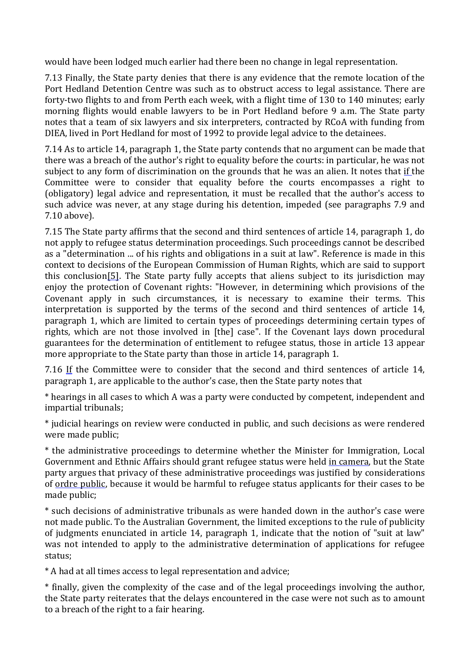would have been lodged much earlier had there been no change in legal representation.

7.13 Finally, the State party denies that there is any evidence that the remote location of the Port Hedland Detention Centre was such as to obstruct access to legal assistance. There are forty-two flights to and from Perth each week, with a flight time of 130 to 140 minutes; early morning flights would enable lawyers to be in Port Hedland before 9 a.m. The State party notes that a team of six lawyers and six interpreters, contracted by RCoA with funding from DIEA, lived in Port Hedland for most of 1992 to provide legal advice to the detainees.

7.14 As to article 14, paragraph 1, the State party contends that no argument can be made that there was a breach of the author's right to equality before the courts: in particular, he was not subject to any form of discrimination on the grounds that he was an alien. It notes that if the Committee were to consider that equality before the courts encompasses a right to (obligatory) legal advice and representation, it must be recalled that the author's access to such advice was never, at any stage during his detention, impeded (see paragraphs 7.9 and 7.10 above).

7.15 The State party affirms that the second and third sentences of article 14, paragraph 1, do not apply to refugee status determination proceedings. Such proceedings cannot be described as a "determination ... of his rights and obligations in a suit at law". Reference is made in this context to decisions of the European Commission of Human Rights, which are said to support this conclusion[5]. The State party fully accepts that aliens subject to its jurisdiction may enjoy the protection of Covenant rights: "However, in determining which provisions of the Covenant apply in such circumstances, it is necessary to examine their terms. This interpretation is supported by the terms of the second and third sentences of article 14, paragraph 1, which are limited to certain types of proceedings determining certain types of rights, which are not those involved in [the] case". If the Covenant lays down procedural guarantees for the determination of entitlement to refugee status, those in article 13 appear more appropriate to the State party than those in article 14, paragraph 1.

7.16 If the Committee were to consider that the second and third sentences of article 14, paragraph 1, are applicable to the author's case, then the State party notes that

\* hearings in all cases to which A was a party were conducted by competent, independent and impartial tribunals;

\* judicial hearings on review were conducted in public, and such decisions as were rendered were made public;

\* the administrative proceedings to determine whether the Minister for Immigration, Local Government and Ethnic Affairs should grant refugee status were held in camera, but the State party argues that privacy of these administrative proceedings was justified by considerations of ordre public, because it would be harmful to refugee status applicants for their cases to be made public;

\* such decisions of administrative tribunals as were handed down in the author's case were not made public. To the Australian Government, the limited exceptions to the rule of publicity of judgments enunciated in article 14, paragraph 1, indicate that the notion of "suit at law" was not intended to apply to the administrative determination of applications for refugee status;

\* A had at all times access to legal representation and advice;

\* finally, given the complexity of the case and of the legal proceedings involving the author, the State party reiterates that the delays encountered in the case were not such as to amount to a breach of the right to a fair hearing.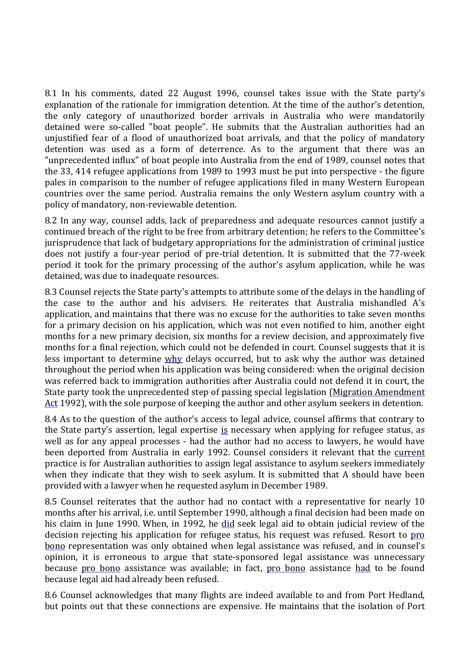8.1 In his comments, dated 22 August 1996, counsel takes issue with the State party's explanation of the rationale for immigration detention. At the time of the author's detention, the only category of unauthorized border arrivals in Australia who were mandatorily detained were so-called "boat people". He submits that the Australian authorities had an unjustified fear of a flood of unauthorized boat arrivals, and that the policy of mandatory detention was used as a form of deterrence. As to the argument that there was an "unprecedented influx" of boat people into Australia from the end of 1989, counsel notes that the 33, 414 refugee applications from 1989 to 1993 must be put into perspective  $\cdot$  the figure pales in comparison to the number of refugee applications filed in many Western European countries over the same period. Australia remains the only Western asylum country with a policy of mandatory, non-reviewable detention.

8.2 In any way, counsel adds, lack of preparedness and adequate resources cannot justify a continued breach of the right to be free from arbitrary detention; he refers to the Committee's jurisprudence that lack of budgetary appropriations for the administration of criminal justice does not justify a four-year period of pre-trial detention. It is submitted that the 77-week period it took for the primary processing of the author's asylum application, while he was detained, was due to inadequate resources.

8.3 Counsel rejects the State party's attempts to attribute some of the delays in the handling of the case to the author and his advisers. He reiterates that Australia mishandled A's application, and maintains that there was no excuse for the authorities to take seven months for a primary decision on his application, which was not even notified to him, another eight months for a new primary decision, six months for a review decision, and approximately five months for a final rejection, which could not be defended in court. Counsel suggests that it is less important to determine why delays occurred, but to ask why the author was detained throughout the period when his application was being considered: when the original decision was referred back to immigration authorities after Australia could not defend it in court, the State party took the unprecedented step of passing special legislation (Migration Amendment Act 1992), with the sole purpose of keeping the author and other asylum seekers in detention.

8.4 As to the question of the author's access to legal advice, counsel affirms that contrary to the State party's assertion, legal expertise is necessary when applying for refugee status, as well as for any appeal processes - had the author had no access to lawyers, he would have been deported from Australia in early 1992. Counsel considers it relevant that the current practice is for Australian authorities to assign legal assistance to asylum seekers immediately when they indicate that they wish to seek asylum. It is submitted that A should have been provided with a lawyer when he requested asylum in December 1989.

8.5 Counsel reiterates that the author had no contact with a representative for nearly 10 months after his arrival, i.e. until September 1990, although a final decision had been made on his claim in June 1990. When, in 1992, he did seek legal aid to obtain judicial review of the decision rejecting his application for refugee status, his request was refused. Resort to pro bono representation was only obtained when legal assistance was refused, and in counsel's opinion, it is erroneous to argue that state-sponsored legal assistance was unnecessary because pro bono assistance was available; in fact, pro bono assistance had to be found because legal aid had already been refused.

8.6 Counsel acknowledges that many flights are indeed available to and from Port Hedland, but points out that these connections are expensive. He maintains that the isolation of Port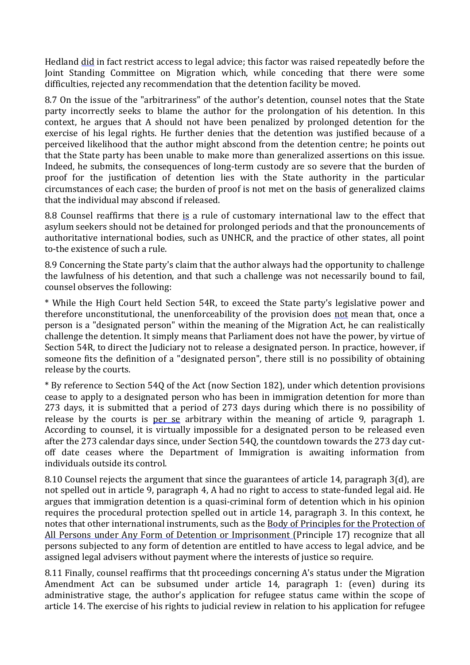Hedland did in fact restrict access to legal advice; this factor was raised repeatedly before the Joint Standing Committee on Migration which, while conceding that there were some difficulties, rejected any recommendation that the detention facility be moved.

8.7 On the issue of the "arbitrariness" of the author's detention, counsel notes that the State party incorrectly seeks to blame the author for the prolongation of his detention. In this context, he argues that A should not have been penalized by prolonged detention for the exercise of his legal rights. He further denies that the detention was justified because of a perceived likelihood that the author might abscond from the detention centre; he points out that the State party has been unable to make more than generalized assertions on this issue. Indeed, he submits, the consequences of long-term custody are so severe that the burden of proof for the justification of detention lies with the State authority in the particular circumstances of each case; the burden of proof is not met on the basis of generalized claims that the individual may abscond if released.

8.8 Counsel reaffirms that there is a rule of customary international law to the effect that asylum seekers should not be detained for prolonged periods and that the pronouncements of authoritative international bodies, such as UNHCR, and the practice of other states, all point to-the existence of such a rule.

8.9 Concerning the State party's claim that the author always had the opportunity to challenge the lawfulness of his detention, and that such a challenge was not necessarily bound to fail, counsel observes the following:

\* While the High Court held Section 54R, to exceed the State party's legislative power and therefore unconstitutional, the unenforceability of the provision does not mean that, once a person is a "designated person" within the meaning of the Migration Act, he can realistically challenge the detention. It simply means that Parliament does not have the power, by virtue of Section 54R, to direct the Judiciary not to release a designated person. In practice, however, if someone fits the definition of a "designated person", there still is no possibility of obtaining release by the courts.

\* By reference to Section 54Q of the Act (now Section 182), under which detention provisions cease to apply to a designated person who has been in immigration detention for more than 273 days, it is submitted that a period of 273 days during which there is no possibility of release by the courts is per se arbitrary within the meaning of article 9, paragraph 1. According to counsel, it is virtually impossible for a designated person to be released even after the 273 calendar days since, under Section 54Q, the countdown towards the 273 day cutoff date ceases where the Department of Immigration is awaiting information from individuals outside its control.

8.10 Counsel rejects the argument that since the guarantees of article 14, paragraph 3(d), are not spelled out in article 9, paragraph 4, A had no right to access to state-funded legal aid. He argues that immigration detention is a quasi-criminal form of detention which in his opinion requires the procedural protection spelled out in article 14, paragraph 3. In this context, he notes that other international instruments, such as the Body of Principles for the Protection of All Persons under Any Form of Detention or Imprisonment (Principle 17) recognize that all persons subjected to any form of detention are entitled to have access to legal advice, and be assigned legal advisers without payment where the interests of justice so require.

8.11 Finally, counsel reaffirms that tht proceedings concerning A's status under the Migration Amendment Act can be subsumed under article 14, paragraph 1: (even) during its administrative stage, the author's application for refugee status came within the scope of article 14. The exercise of his rights to judicial review in relation to his application for refugee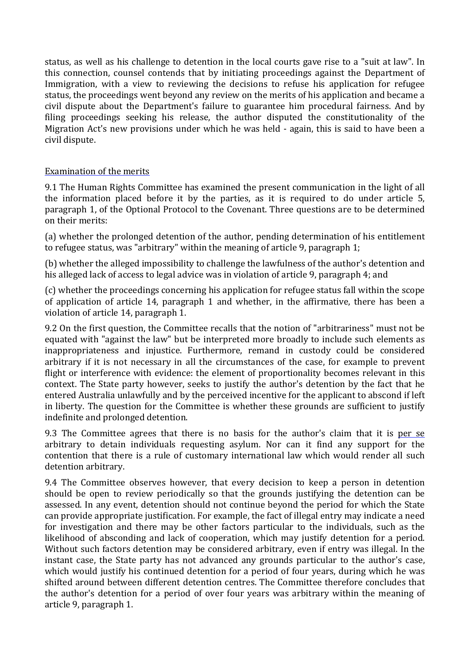status, as well as his challenge to detention in the local courts gave rise to a "suit at law". In this connection, counsel contends that by initiating proceedings against the Department of Immigration, with a view to reviewing the decisions to refuse his application for refugee status, the proceedings went beyond any review on the merits of his application and became a civil dispute about the Department's failure to guarantee him procedural fairness. And by filing proceedings seeking his release, the author disputed the constitutionality of the Migration Act's new provisions under which he was held - again, this is said to have been a civil dispute.

## Examination of the merits

9.1 The Human Rights Committee has examined the present communication in the light of all the information placed before it by the parties, as it is required to do under article 5, paragraph 1, of the Optional Protocol to the Covenant. Three questions are to be determined on their merits:

(a) whether the prolonged detention of the author, pending determination of his entitlement to refugee status, was "arbitrary" within the meaning of article 9, paragraph 1;

(b) whether the alleged impossibility to challenge the lawfulness of the author's detention and his alleged lack of access to legal advice was in violation of article 9, paragraph 4; and

(c) whether the proceedings concerning his application for refugee status fall within the scope of application of article 14, paragraph 1 and whether, in the affirmative, there has been a violation of article 14, paragraph 1.

9.2 On the first question, the Committee recalls that the notion of "arbitrariness" must not be equated with "against the law" but be interpreted more broadly to include such elements as inappropriateness and injustice. Furthermore, remand in custody could be considered arbitrary if it is not necessary in all the circumstances of the case, for example to prevent flight or interference with evidence: the element of proportionality becomes relevant in this context. The State party however, seeks to justify the author's detention by the fact that he entered Australia unlawfully and by the perceived incentive for the applicant to abscond if left in liberty. The question for the Committee is whether these grounds are sufficient to justify indefinite and prolonged detention.

9.3 The Committee agrees that there is no basis for the author's claim that it is per se arbitrary to detain individuals requesting asylum. Nor can it find any support for the contention that there is a rule of customary international law which would render all such detention arbitrary.

9.4 The Committee observes however, that every decision to keep a person in detention should be open to review periodically so that the grounds justifying the detention can be assessed. In any event, detention should not continue beyond the period for which the State can provide appropriate justification. For example, the fact of illegal entry may indicate a need for investigation and there may be other factors particular to the individuals, such as the likelihood of absconding and lack of cooperation, which may justify detention for a period. Without such factors detention may be considered arbitrary, even if entry was illegal. In the instant case, the State party has not advanced any grounds particular to the author's case, which would justify his continued detention for a period of four years, during which he was shifted around between different detention centres. The Committee therefore concludes that the author's detention for a period of over four years was arbitrary within the meaning of article 9, paragraph 1.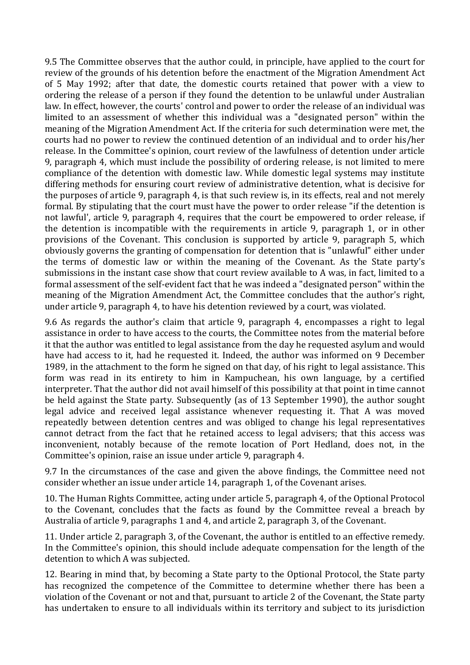9.5 The Committee observes that the author could, in principle, have applied to the court for review of the grounds of his detention before the enactment of the Migration Amendment Act of 5 May 1992; after that date, the domestic courts retained that power with a view to ordering the release of a person if they found the detention to be unlawful under Australian law. In effect, however, the courts' control and power to order the release of an individual was limited to an assessment of whether this individual was a "designated person" within the meaning of the Migration Amendment Act. If the criteria for such determination were met, the courts had no power to review the continued detention of an individual and to order his/her release. In the Committee's opinion, court review of the lawfulness of detention under article 9, paragraph 4, which must include the possibility of ordering release, is not limited to mere compliance of the detention with domestic law. While domestic legal systems may institute differing methods for ensuring court review of administrative detention, what is decisive for the purposes of article 9, paragraph 4, is that such review is, in its effects, real and not merely formal. By stipulating that the court must have the power to order release "if the detention is not lawful', article 9, paragraph 4, requires that the court be empowered to order release. if the detention is incompatible with the requirements in article 9, paragraph 1, or in other provisions of the Covenant. This conclusion is supported by article 9, paragraph 5, which obviously governs the granting of compensation for detention that is "unlawful" either under the terms of domestic law or within the meaning of the Covenant. As the State party's submissions in the instant case show that court review available to A was, in fact, limited to a formal assessment of the self-evident fact that he was indeed a "designated person" within the meaning of the Migration Amendment Act, the Committee concludes that the author's right, under article 9, paragraph 4, to have his detention reviewed by a court, was violated.

9.6 As regards the author's claim that article 9, paragraph 4, encompasses a right to legal assistance in order to have access to the courts, the Committee notes from the material before it that the author was entitled to legal assistance from the day he requested asylum and would have had access to it, had he requested it. Indeed, the author was informed on 9 December 1989, in the attachment to the form he signed on that day, of his right to legal assistance. This form was read in its entirety to him in Kampuchean, his own language, by a certified interpreter. That the author did not avail himself of this possibility at that point in time cannot be held against the State party. Subsequently (as of 13 September 1990), the author sought legal advice and received legal assistance whenever requesting it. That A was moved repeatedly between detention centres and was obliged to change his legal representatives cannot detract from the fact that he retained access to legal advisers; that this access was inconvenient, notably because of the remote location of Port Hedland, does not, in the Committee's opinion, raise an issue under article 9, paragraph 4.

9.7 In the circumstances of the case and given the above findings, the Committee need not consider whether an issue under article 14, paragraph 1, of the Covenant arises.

10. The Human Rights Committee, acting under article 5, paragraph 4, of the Optional Protocol to the Covenant, concludes that the facts as found by the Committee reveal a breach by Australia of article 9, paragraphs 1 and 4, and article 2, paragraph 3, of the Covenant.

11. Under article 2, paragraph 3, of the Covenant, the author is entitled to an effective remedy. In the Committee's opinion, this should include adequate compensation for the length of the detention to which A was subjected.

12. Bearing in mind that, by becoming a State party to the Optional Protocol, the State party has recognized the competence of the Committee to determine whether there has been a violation of the Covenant or not and that, pursuant to article 2 of the Covenant, the State party has undertaken to ensure to all individuals within its territory and subject to its jurisdiction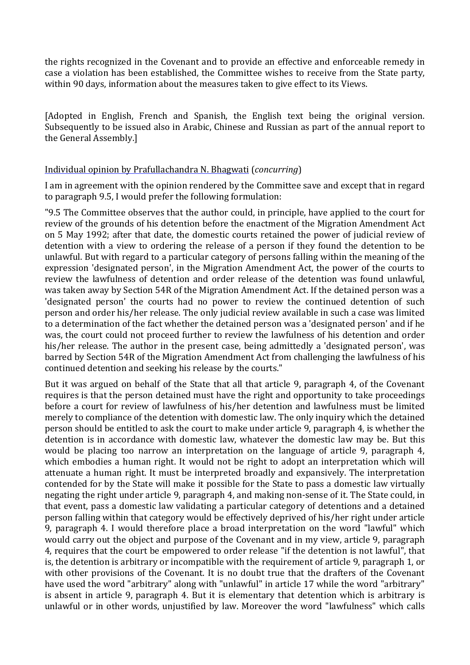the rights recognized in the Covenant and to provide an effective and enforceable remedy in case a violation has been established, the Committee wishes to receive from the State party, within 90 days, information about the measures taken to give effect to its Views.

[Adopted in English, French and Spanish, the English text being the original version. Subsequently to be issued also in Arabic, Chinese and Russian as part of the annual report to the General Assembly.]

## Individual!opinion!by!Prafullachandra!N.!Bhagwati!(*concurring*)

I am in agreement with the opinion rendered by the Committee save and except that in regard to paragraph 9.5, I would prefer the following formulation:

"9.5 The Committee observes that the author could, in principle, have applied to the court for review of the grounds of his detention before the enactment of the Migration Amendment Act on 5 May 1992; after that date, the domestic courts retained the power of judicial review of detention with a view to ordering the release of a person if they found the detention to be unlawful. But with regard to a particular category of persons falling within the meaning of the expression 'designated person', in the Migration Amendment Act, the power of the courts to review the lawfulness of detention and order release of the detention was found unlawful, was taken away by Section 54R of the Migration Amendment Act. If the detained person was a 'designated person' the courts had no power to review the continued detention of such person and order his/her release. The only judicial review available in such a case was limited to a determination of the fact whether the detained person was a 'designated person' and if he was, the court could not proceed further to review the lawfulness of his detention and order his/her release. The author in the present case, being admittedly a 'designated person', was barred by Section 54R of the Migration Amendment Act from challenging the lawfulness of his continued detention and seeking his release by the courts."

But it was argued on behalf of the State that all that article 9, paragraph 4, of the Covenant requires is that the person detained must have the right and opportunity to take proceedings before a court for review of lawfulness of his/her detention and lawfulness must be limited merely to compliance of the detention with domestic law. The only inquiry which the detained person should be entitled to ask the court to make under article 9, paragraph 4, is whether the detention is in accordance with domestic law, whatever the domestic law may be. But this would be placing too narrow an interpretation on the language of article 9, paragraph 4, which embodies a human right. It would not be right to adopt an interpretation which will attenuate a human right. It must be interpreted broadly and expansively. The interpretation contended for by the State will make it possible for the State to pass a domestic law virtually negating the right under article 9, paragraph 4, and making non-sense of it. The State could, in that event, pass a domestic law validating a particular category of detentions and a detained person falling within that category would be effectively deprived of his/her right under article 9, paragraph 4. I would therefore place a broad interpretation on the word "lawful" which would carry out the object and purpose of the Covenant and in my view, article 9, paragraph 4, requires that the court be empowered to order release "if the detention is not lawful", that is, the detention is arbitrary or incompatible with the requirement of article 9, paragraph 1, or with other provisions of the Covenant. It is no doubt true that the drafters of the Covenant have used the word "arbitrary" along with "unlawful" in article 17 while the word "arbitrary" is absent in article 9, paragraph 4. But it is elementary that detention which is arbitrary is unlawful or in other words, unjustified by law. Moreover the word "lawfulness" which calls